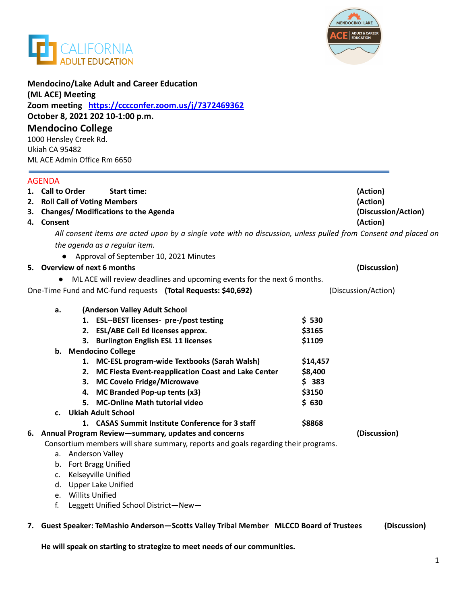



| <b>Mendocino/Lake Adult and Career Education</b><br>(ML ACE) Meeting<br>Zoom meeting https://cccconfer.zoom.us/i/7372469362<br>October 8, 2021 202 10-1:00 p.m.<br><b>Mendocino College</b><br>1000 Hensley Creek Rd.<br>Ukiah CA 95482<br>ML ACE Admin Office Rm 6650 |                                                                                                                |                                                                         |          |                                 |
|------------------------------------------------------------------------------------------------------------------------------------------------------------------------------------------------------------------------------------------------------------------------|----------------------------------------------------------------------------------------------------------------|-------------------------------------------------------------------------|----------|---------------------------------|
|                                                                                                                                                                                                                                                                        |                                                                                                                |                                                                         |          |                                 |
|                                                                                                                                                                                                                                                                        | 1. Call to Order                                                                                               | <b>Start time:</b>                                                      |          | (Action)                        |
|                                                                                                                                                                                                                                                                        | 2. Roll Call of Voting Members                                                                                 |                                                                         |          | (Action)                        |
|                                                                                                                                                                                                                                                                        | 3. Changes/Modifications to the Agenda<br>4. Consent                                                           |                                                                         |          | (Discussion/Action)<br>(Action) |
|                                                                                                                                                                                                                                                                        | All consent items are acted upon by a single vote with no discussion, unless pulled from Consent and placed on |                                                                         |          |                                 |
|                                                                                                                                                                                                                                                                        | the agenda as a regular item.                                                                                  |                                                                         |          |                                 |
|                                                                                                                                                                                                                                                                        |                                                                                                                | Approval of September 10, 2021 Minutes                                  |          |                                 |
|                                                                                                                                                                                                                                                                        |                                                                                                                | 5. Overview of next 6 months                                            |          | (Discussion)                    |
|                                                                                                                                                                                                                                                                        |                                                                                                                | ML ACE will review deadlines and upcoming events for the next 6 months. |          |                                 |
|                                                                                                                                                                                                                                                                        |                                                                                                                | One-Time Fund and MC-fund requests (Total Requests: \$40,692)           |          | (Discussion/Action)             |
|                                                                                                                                                                                                                                                                        | a.                                                                                                             | (Anderson Valley Adult School                                           |          |                                 |
|                                                                                                                                                                                                                                                                        |                                                                                                                | 1. ESL--BEST licenses- pre-/post testing                                | \$530    |                                 |
|                                                                                                                                                                                                                                                                        |                                                                                                                | 2. ESL/ABE Cell Ed licenses approx.                                     | \$3165   |                                 |
|                                                                                                                                                                                                                                                                        |                                                                                                                | 3. Burlington English ESL 11 licenses                                   | \$1109   |                                 |
|                                                                                                                                                                                                                                                                        |                                                                                                                | b. Mendocino College                                                    |          |                                 |
|                                                                                                                                                                                                                                                                        |                                                                                                                | <b>MC-ESL program-wide Textbooks (Sarah Walsh)</b><br>1.                | \$14,457 |                                 |
|                                                                                                                                                                                                                                                                        |                                                                                                                | 2. MC Fiesta Event-reapplication Coast and Lake Center                  | \$8,400  |                                 |
|                                                                                                                                                                                                                                                                        |                                                                                                                | 3. MC Covelo Fridge/Microwave                                           | \$383    |                                 |
|                                                                                                                                                                                                                                                                        |                                                                                                                | 4. MC Branded Pop-up tents (x3)                                         | \$3150   |                                 |
|                                                                                                                                                                                                                                                                        |                                                                                                                | 5. MC-Online Math tutorial video                                        | \$630    |                                 |
|                                                                                                                                                                                                                                                                        | c.                                                                                                             | <b>Ukiah Adult School</b>                                               |          |                                 |
|                                                                                                                                                                                                                                                                        |                                                                                                                | <b>CASAS Summit Institute Conference for 3 staff</b><br>1.              | \$8868   |                                 |
|                                                                                                                                                                                                                                                                        | 6. Annual Program Review-summary, updates and concerns<br>(Discussion)                                         |                                                                         |          |                                 |
|                                                                                                                                                                                                                                                                        | Consortium members will share summary, reports and goals regarding their programs.<br>Anderson Valley<br>а.    |                                                                         |          |                                 |
|                                                                                                                                                                                                                                                                        |                                                                                                                | b. Fort Bragg Unified                                                   |          |                                 |
|                                                                                                                                                                                                                                                                        | c.                                                                                                             | Kelseyville Unified                                                     |          |                                 |
|                                                                                                                                                                                                                                                                        | d.                                                                                                             | <b>Upper Lake Unified</b>                                               |          |                                 |
|                                                                                                                                                                                                                                                                        | e.                                                                                                             | <b>Willits Unified</b>                                                  |          |                                 |
|                                                                                                                                                                                                                                                                        | f.                                                                                                             | Leggett Unified School District-New-                                    |          |                                 |
|                                                                                                                                                                                                                                                                        |                                                                                                                |                                                                         |          |                                 |

**7. Guest Speaker: TeMashio Anderson—Scotts Valley Tribal Member MLCCD Board of Trustees (Discussion)**

**He will speak on starting to strategize to meet needs of our communities.**